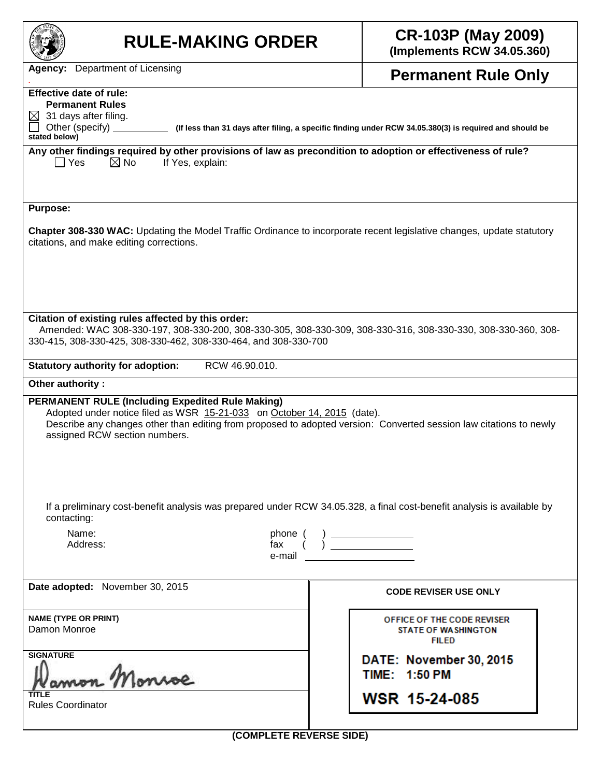| <b>RULE-MAKING ORDER</b>                                                                                                                                                                                                                                                                                      | <b>CR-103P (May 2009)</b><br>(Implements RCW 34.05.360)                  |  |  |  |  |  |  |
|---------------------------------------------------------------------------------------------------------------------------------------------------------------------------------------------------------------------------------------------------------------------------------------------------------------|--------------------------------------------------------------------------|--|--|--|--|--|--|
| <b>Agency:</b> Department of Licensing                                                                                                                                                                                                                                                                        | <b>Permanent Rule Only</b>                                               |  |  |  |  |  |  |
| <b>Effective date of rule:</b><br><b>Permanent Rules</b><br>31 days after filing.<br>Other (specify)<br>(If less than 31 days after filing, a specific finding under RCW 34.05.380(3) is required and should be<br>stated below)                                                                              |                                                                          |  |  |  |  |  |  |
| Any other findings required by other provisions of law as precondition to adoption or effectiveness of rule?<br>$\boxtimes$ No<br>If Yes, explain:<br>∣ Yes                                                                                                                                                   |                                                                          |  |  |  |  |  |  |
| <b>Purpose:</b><br>Chapter 308-330 WAC: Updating the Model Traffic Ordinance to incorporate recent legislative changes, update statutory<br>citations, and make editing corrections.                                                                                                                          |                                                                          |  |  |  |  |  |  |
| Citation of existing rules affected by this order:<br>Amended: WAC 308-330-197, 308-330-200, 308-330-305, 308-330-309, 308-330-316, 308-330-330, 308-330-360, 308-<br>330-415, 308-330-425, 308-330-462, 308-330-464, and 308-330-700                                                                         |                                                                          |  |  |  |  |  |  |
| RCW 46.90.010.<br><b>Statutory authority for adoption:</b>                                                                                                                                                                                                                                                    |                                                                          |  |  |  |  |  |  |
| Other authority:<br><b>PERMANENT RULE (Including Expedited Rule Making)</b><br>Adopted under notice filed as WSR 15-21-033 on October 14, 2015 (date).<br>Describe any changes other than editing from proposed to adopted version: Converted session law citations to newly<br>assigned RCW section numbers. |                                                                          |  |  |  |  |  |  |
| If a preliminary cost-benefit analysis was prepared under RCW 34.05.328, a final cost-benefit analysis is available by<br>contacting:<br>Name:<br>phone (<br>fax<br>Address:<br>e-mail                                                                                                                        |                                                                          |  |  |  |  |  |  |
| Date adopted: November 30, 2015                                                                                                                                                                                                                                                                               | <b>CODE REVISER USE ONLY</b>                                             |  |  |  |  |  |  |
| <b>NAME (TYPE OR PRINT)</b><br>Damon Monroe                                                                                                                                                                                                                                                                   | OFFICE OF THE CODE REVISER<br><b>STATE OF WASHINGTON</b><br><b>FILED</b> |  |  |  |  |  |  |
| <b>SIGNATURE</b>                                                                                                                                                                                                                                                                                              | DATE: November 30, 2015<br><b>TIME: 1:50 PM</b>                          |  |  |  |  |  |  |
| <b>Rules Coordinator</b>                                                                                                                                                                                                                                                                                      | <b>WSR 15-24-085</b>                                                     |  |  |  |  |  |  |
| (COMPLETE REVERSE SIDE)                                                                                                                                                                                                                                                                                       |                                                                          |  |  |  |  |  |  |